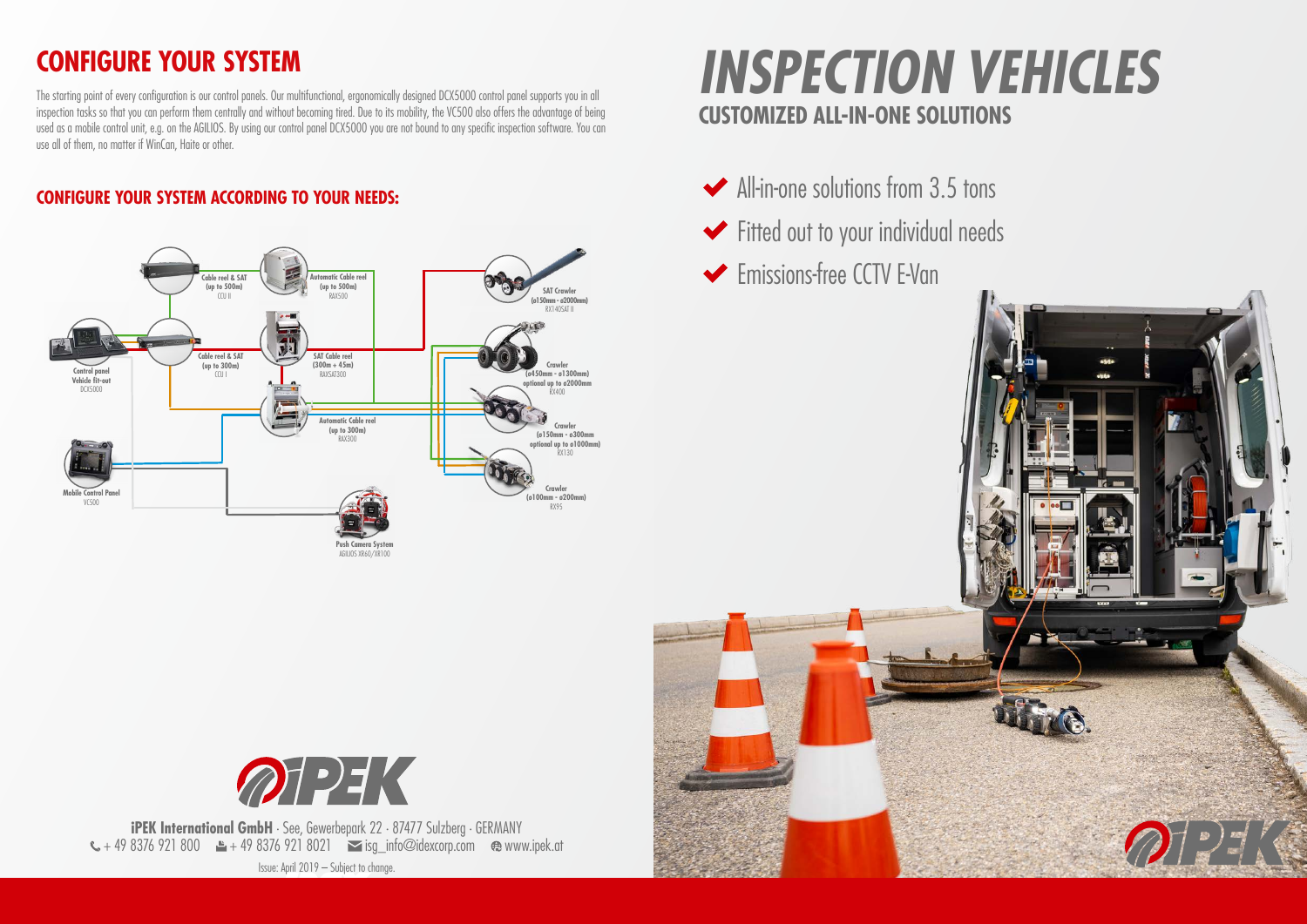

**iPEK International GmbH** · See, Gewerbepark 22 · 87477 Sulzberg · GERMANY + 49 8376 921 800  $\pm$  + 49 8376 921 8021  $\le$  isg\_info@idexcorp.com  $\otimes$  www.ipek.at Issue: April 2019 – Subject to change.





## **CONFIGURE YOUR SYSTEM**

The starting point of every configuration is our control panels. Our multifunctional, ergonomically designed DCX5000 control panel supports you in all inspection tasks so that you can perform them centrally and without becoming tired. Due to its mobility, the VC500 also offers the advantage of being used as a mobile control unit, e.g. on the AGILIOS. By using our control panel DCX5000 you are not bound to any specific inspection software. You can use all of them, no matter if WinCan, Haite or other.

# **CUSTOMIZED ALL-IN-ONE SOLUTIONS** *INSPECTION VEHICLES*

- All-in-one solutions from 3.5 tons
- Fitted out to your individual needs
- **Emissions-free CCTV E-Van**



#### **CONFIGURE YOUR SYSTEM ACCORDING TO YOUR NEEDS:**